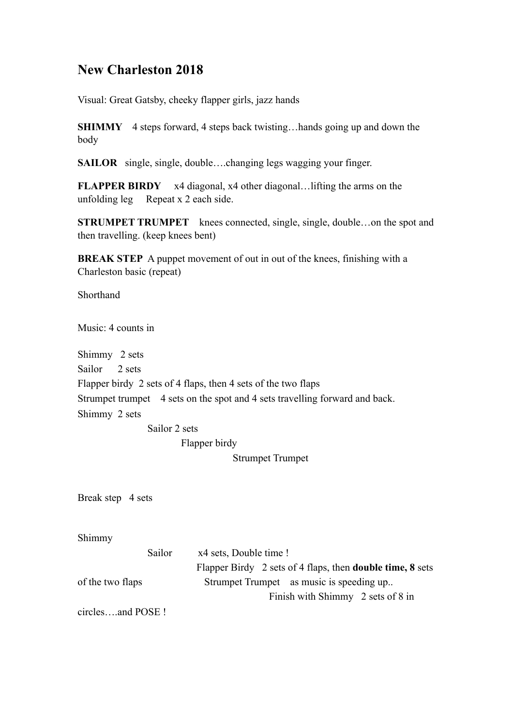## **New Charleston 2018**

Visual: Great Gatsby, cheeky flapper girls, jazz hands

**SHIMMY** 4 steps forward, 4 steps back twisting...hands going up and down the body

**SAILOR** single, single, double….changing legs wagging your finger.

**FLAPPER BIRDY** x4 diagonal, x4 other diagonal…lifting the arms on the unfolding leg Repeat x 2 each side.

**STRUMPET TRUMPET** knees connected, single, single, double...on the spot and then travelling. (keep knees bent)

**BREAK STEP** A puppet movement of out in out of the knees, finishing with a Charleston basic (repeat)

Shorthand

Music: 4 counts in

Shimmy 2 sets

Sailor 2 sets

Flapper birdy 2 sets of 4 flaps, then 4 sets of the two flaps

Strumpet trumpet 4 sets on the spot and 4 sets travelling forward and back.

Shimmy 2 sets

Sailor 2 sets

Flapper birdy

Strumpet Trumpet

Break step 4 sets

Shimmy

|                  | Sailor | x4 sets, Double time !                                           |
|------------------|--------|------------------------------------------------------------------|
|                  |        | Flapper Birdy 2 sets of 4 flaps, then <b>double time, 8</b> sets |
| of the two flaps |        | Strumpet Trumpet as music is speeding up                         |
|                  |        | Finish with Shimmy 2 sets of 8 in                                |
|                  |        |                                                                  |

circles and POSE !